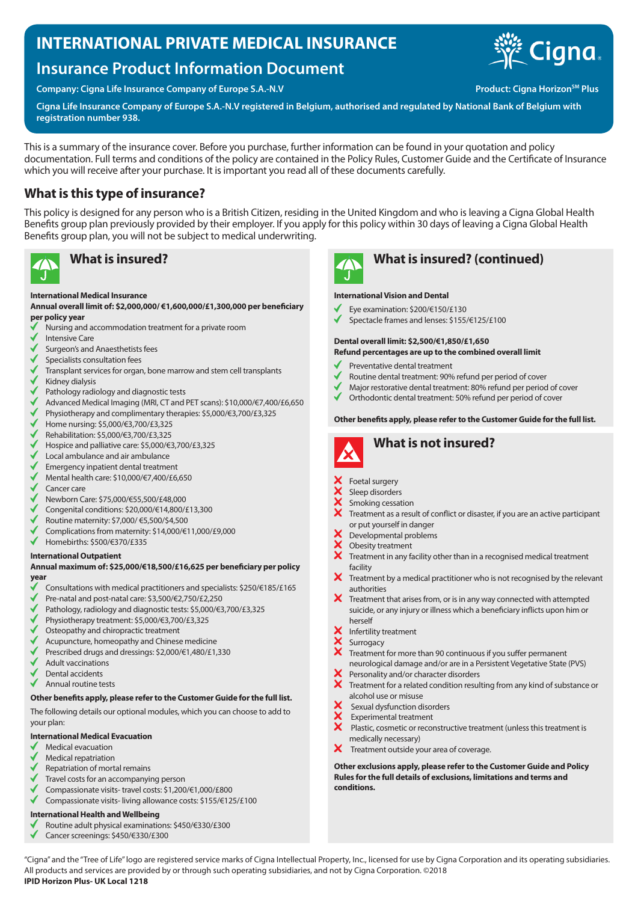# **INTERNATIONAL PRIVATE MEDICAL INSURANCE**

# **Insurance Product Information Document**

**Company: Cigna Life Insurance Company of Europe S.A.-N.V Product: Cigna Horizon<sup>SM</sup> Plus** 



**Cigna Life Insurance Company of Europe S.A.-N.V registered in Belgium, authorised and regulated by National Bank of Belgium with registration number 938.**

This is a summary of the insurance cover. Before you purchase, further information can be found in your quotation and policy documentation. Full terms and conditions of the policy are contained in the Policy Rules, Customer Guide and the Certificate of Insurance which you will receive after your purchase. It is important you read all of these documents carefully.

# **What is this type of insurance?**

This policy is designed for any person who is a British Citizen, residing in the United Kingdom and who is leaving a Cigna Global Health Benefits group plan previously provided by their employer. If you apply for this policy within 30 days of leaving a Cigna Global Health Benefits group plan, you will not be subject to medical underwriting.



#### **International Medical Insurance**

**Annual overall limit of: \$2,000,000/ €1,600,000/£1,300,000 per beneficiary per policy year**

- Nursing and accommodation treatment for a private room
- Intensive Care
- Surgeon's and Anaesthetists fees
- Specialists consultation fees
- Transplant services for organ, bone marrow and stem cell transplants
- Kidney dialysis
- Pathology radiology and diagnostic tests
- Advanced Medical Imaging (MRI, CT and PET scans): \$10,000/€7,400/£6,650
- Physiotherapy and complimentary therapies: \$5,000/€3,700/£3,325
- Home nursing: \$5,000/€3,700/£3,325
- Rehabilitation: \$5,000/€3,700/£3,325
- Hospice and palliative care: \$5,000/€3,700/£3,325
- $\overline{\mathbf{u}}$ Local ambulance and air ambulance
- Emergency inpatient dental treatment
- Mental health care: \$10,000/€7,400/£6,650
- Cancer care
- Newborn Care: \$75,000/€55,500/£48,000
- Congenital conditions: \$20,000/€14,800/£13,300
- Routine maternity: \$7,000/ €5,500/\$4,500
- Complications from maternity: \$14,000/€11,000/£9,000
- ✔ Homebirths: \$500/€370/£335

#### **International Outpatient**

#### **Annual maximum of: \$25,000/€18,500/£16,625 per beneficiary per policy year**

- Consultations with medical practitioners and specialists: \$250/€185/£165
- Pre-natal and post-natal care: \$3,500/€2,750/£2,250
- Pathology, radiology and diagnostic tests: \$5,000/€3,700/£3,325
- Physiotherapy treatment: \$5,000/€3,700/£3,325
- Osteopathy and chiropractic treatment
- Acupuncture, homeopathy and Chinese medicine
- Prescribed drugs and dressings: \$2,000/€1,480/£1,330
- Adult vaccinations
- Dental accidents
- Annual routine tests

#### **Other benefits apply, please refer to the Customer Guide for the full list.**

The following details our optional modules, which you can choose to add to your plan:

#### **International Medical Evacuation**

- Medical evacuation
- Medical repatriation
- Repatriation of mortal remains
- Travel costs for an accompanying person
- Compassionate visits- travel costs: \$1,200/€1,000/£800 Compassionate visits- living allowance costs: \$155/€125/£100

### **International Health and Wellbeing**

- Routine adult physical examinations: \$450/€330/£300
- Cancer screenings: \$450/€330/£300



# **What is insured? What is insured? (continued)**

#### **International Vision and Dental**

- Eye examination: \$200/€150/£130
- Spectacle frames and lenses: \$155/€125/£100

#### **Dental overall limit: \$2,500/€1,850/£1,650 Refund percentages are up to the combined overall limit**

- Preventative dental treatment
- Routine dental treatment: 90% refund per period of cover
- Major restorative dental treatment: 80% refund per period of cover
- $\checkmark$ Orthodontic dental treatment: 50% refund per period of cover

#### **Other benefits apply, please refer to the Customer Guide for the full list.**



- Foetal surgery
- Sleep disorders
- Smoking cessation
- Treatment as a result of conflict or disaster, if you are an active participant or put yourself in danger
- Developmental problems
- XXX Obesity treatment
- Treatment in any facility other than in a recognised medical treatment facility
- $\boldsymbol{\mathsf{X}}$ Treatment by a medical practitioner who is not recognised by the relevant authorities
- $\boldsymbol{\times}$  Treatment that arises from, or is in any way connected with attempted suicide, or any injury or illness which a beneficiary inflicts upon him or herself
- XXX Infertility treatment
- Surrogacy
	- Treatment for more than 90 continuous if you suffer permanent
	- neurological damage and/or are in a Persistent Vegetative State (PVS)
- Personality and/or character disorders
- Treatment for a related condition resulting from any kind of substance or alcohol use or misuse
- Sexual dysfunction disorders
- Experimental treatment
- $\ddot{\mathbf{x}}$  Plastic, cosmetic or reconstructive treatment (unless this treatment is medically necessary)
- $\boldsymbol{\times}$ Treatment outside your area of coverage.

**Other exclusions apply, please refer to the Customer Guide and Policy Rules for the full details of exclusions, limitations and terms and conditions.**

"Cigna" and the "Tree of Life" logo are registered service marks of Cigna Intellectual Property, Inc., licensed for use by Cigna Corporation and its operating subsidiaries. All products and services are provided by or through such operating subsidiaries, and not by Cigna Corporation. ©2018 **IPID Horizon Plus- UK Local 1218**